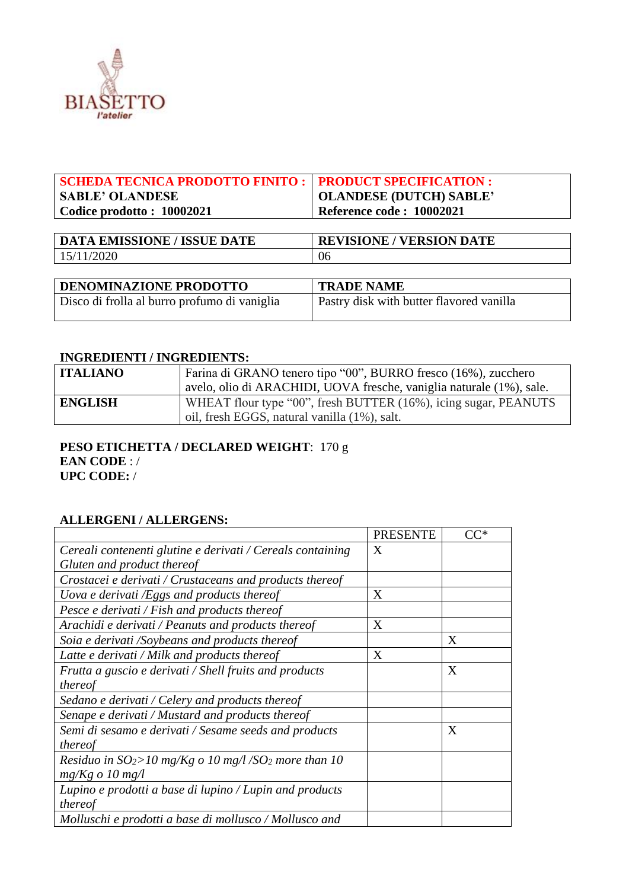

| SCHEDA TECNICA PRODOTTO FINITO :   PRODUCT SPECIFICATION : |                          |
|------------------------------------------------------------|--------------------------|
| <b>SABLE' OLANDESE</b>                                     | OLANDESE (DUTCH) SABLE'  |
| $\vert$ Codice prodotto: 10002021                          | Reference code: 10002021 |
|                                                            |                          |

| <b>DATA EMISSIONE / ISSUE DATE</b> | <b>REVISIONE / VERSION DATE</b> |
|------------------------------------|---------------------------------|
| 15/11/2020                         | 06                              |

| <b>DENOMINAZIONE PRODOTTO</b>                | <b>TRADE NAME</b>                        |  |  |  |
|----------------------------------------------|------------------------------------------|--|--|--|
| Disco di frolla al burro profumo di vaniglia | Pastry disk with butter flavored vanilla |  |  |  |

#### **INGREDIENTI / INGREDIENTS:**

| <b>ITALIANO</b> | Farina di GRANO tenero tipo "00", BURRO fresco (16%), zucchero       |
|-----------------|----------------------------------------------------------------------|
|                 | avelo, olio di ARACHIDI, UOVA fresche, vaniglia naturale (1%), sale. |
| <b>ENGLISH</b>  | WHEAT flour type "00", fresh BUTTER (16%), icing sugar, PEANUTS      |
|                 | oil, fresh EGGS, natural vanilla (1%), salt.                         |

## **PESO ETICHETTA / DECLARED WEIGHT**: 170 g **EAN CODE** : / **UPC CODE:** /

## **ALLERGENI / ALLERGENS:**

|                                                                     | <b>PRESENTE</b> | $\mathsf{C}\mathsf{C}^*$ |
|---------------------------------------------------------------------|-----------------|--------------------------|
| Cereali contenenti glutine e derivati / Cereals containing          | X               |                          |
| Gluten and product thereof                                          |                 |                          |
| Crostacei e derivati / Crustaceans and products thereof             |                 |                          |
| Uova e derivati /Eggs and products thereof                          | X               |                          |
| Pesce e derivati / Fish and products thereof                        |                 |                          |
| Arachidi e derivati / Peanuts and products thereof                  | X               |                          |
| Soia e derivati /Soybeans and products thereof                      |                 | X                        |
| Latte e derivati / Milk and products thereof                        | X               |                          |
| Frutta a guscio e derivati / Shell fruits and products              |                 | X                        |
| thereof                                                             |                 |                          |
| Sedano e derivati / Celery and products thereof                     |                 |                          |
| Senape e derivati / Mustard and products thereof                    |                 |                          |
| Semi di sesamo e derivati / Sesame seeds and products               |                 | X                        |
| thereof                                                             |                 |                          |
| Residuo in $SO_2 > 10$ mg/Kg o 10 mg/l/SO <sub>2</sub> more than 10 |                 |                          |
| $mg/Kg \text{ o } 10 \text{ mg}/l$                                  |                 |                          |
| Lupino e prodotti a base di lupino / Lupin and products             |                 |                          |
| thereof                                                             |                 |                          |
| Molluschi e prodotti a base di mollusco / Mollusco and              |                 |                          |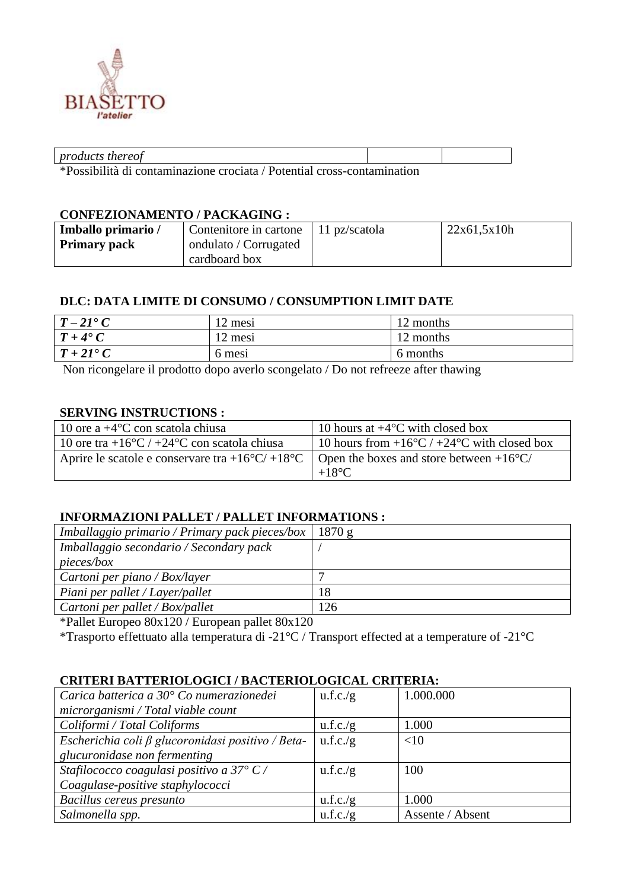

| n r c        |  |  |  |  |  |  |  |  |
|--------------|--|--|--|--|--|--|--|--|
| $\mathbf{A}$ |  |  |  |  |  |  |  |  |

\*Possibilità di contaminazione crociata / Potential cross-contamination

#### **CONFEZIONAMENTO / PACKAGING :**

| Imballo primario /  | Contenitore in cartone   11 pz/scatola | 22x61,5x10h |
|---------------------|----------------------------------------|-------------|
| <b>Primary pack</b> | ondulato / Corrugated                  |             |
|                     | cardboard box                          |             |

## **DLC: DATA LIMITE DI CONSUMO / CONSUMPTION LIMIT DATE**

| $T-21^{\bullet}C$   | 2 mesi | 12 months |
|---------------------|--------|-----------|
| $T+4^{\bullet}C$    | 2 mesi | 12 months |
| $T + 2I^{\bullet}C$ | 6 mesi | 6 months  |

Non ricongelare il prodotto dopo averlo scongelato / Do not refreeze after thawing

# **SERVING INSTRUCTIONS :**

| 10 ore a $+4$ °C con scatola chiusa                                                      | 10 hours at $+4$ °C with closed box                           |
|------------------------------------------------------------------------------------------|---------------------------------------------------------------|
| 10 ore tra +16 $\rm{^{\circ}C}$ / +24 $\rm{^{\circ}C}$ con scatola chiusa                | 10 hours from $+16\degree C$ / $+24\degree C$ with closed box |
| Aprire le scatole e conservare tra +16°C/+18°C   Open the boxes and store between +16°C/ | $+18^{\circ}$ C                                               |

## **INFORMAZIONI PALLET / PALLET INFORMATIONS :**

| Imballaggio primario / Primary pack pieces/box   1870 g |     |
|---------------------------------------------------------|-----|
| Imballaggio secondario / Secondary pack                 |     |
| <i>pieces/box</i>                                       |     |
| Cartoni per piano / Box/layer                           |     |
| Piani per pallet / Layer/pallet                         | 18  |
| Cartoni per pallet / Box/pallet                         | 126 |

\*Pallet Europeo 80x120 / European pallet 80x120

\*Trasporto effettuato alla temperatura di -21°C / Transport effected at a temperature of -21°C

## **CRITERI BATTERIOLOGICI / BACTERIOLOGICAL CRITERIA:**

| Carica batterica a 30° Co numerazionedei                | u.f.c./g | 1.000.000        |
|---------------------------------------------------------|----------|------------------|
| microrganismi / Total viable count                      |          |                  |
| Coliformi / Total Coliforms                             | u.f.c./g | 1.000            |
| Escherichia coli $\beta$ glucoronidasi positivo / Beta- | u.f.c./g | <10              |
| glucuronidase non fermenting                            |          |                  |
| Stafilococco coagulasi positivo a 37° C/                | u.f.c./g | 100              |
| Coagulase-positive staphylococci                        |          |                  |
| Bacillus cereus presunto                                | u.f.c./g | 1.000            |
| Salmonella spp.                                         | u.f.c./g | Assente / Absent |